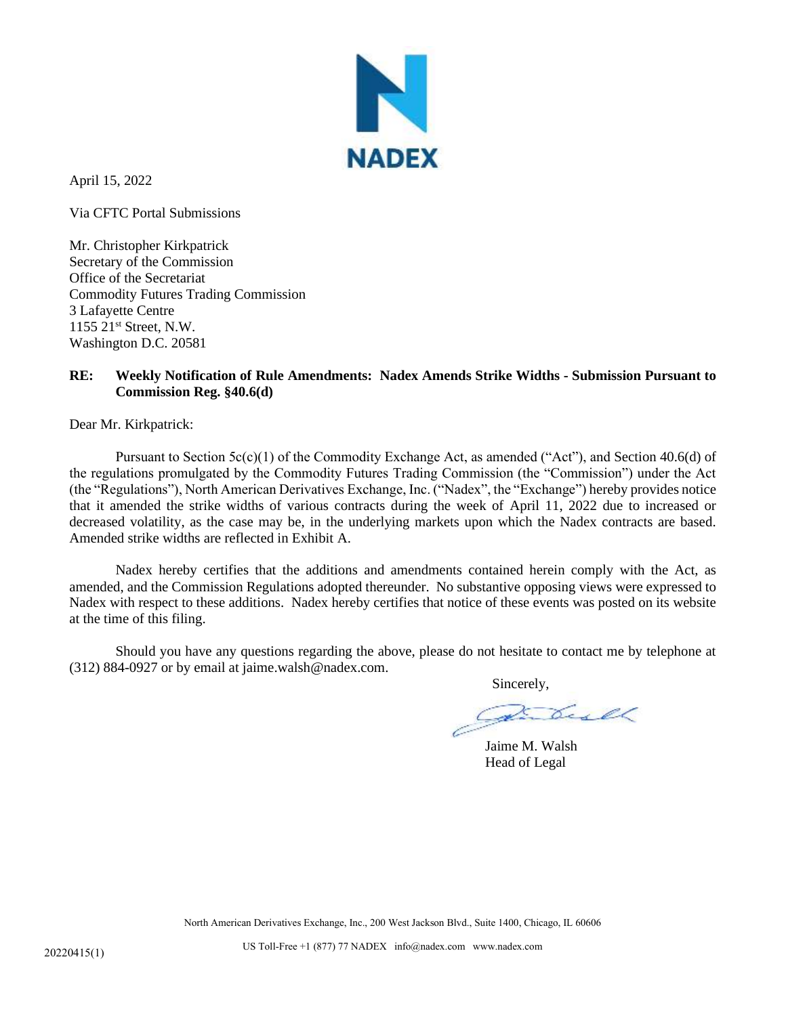

April 15, 2022

Via CFTC Portal Submissions

Mr. Christopher Kirkpatrick Secretary of the Commission Office of the Secretariat Commodity Futures Trading Commission 3 Lafayette Centre 1155 21st Street, N.W. Washington D.C. 20581

## **RE: Weekly Notification of Rule Amendments: Nadex Amends Strike Widths - Submission Pursuant to Commission Reg. §40.6(d)**

Dear Mr. Kirkpatrick:

Pursuant to Section  $5c(c)(1)$  of the Commodity Exchange Act, as amended ("Act"), and Section 40.6(d) of the regulations promulgated by the Commodity Futures Trading Commission (the "Commission") under the Act (the "Regulations"), North American Derivatives Exchange, Inc. ("Nadex", the "Exchange") hereby provides notice that it amended the strike widths of various contracts during the week of April 11, 2022 due to increased or decreased volatility, as the case may be, in the underlying markets upon which the Nadex contracts are based. Amended strike widths are reflected in Exhibit A.

Nadex hereby certifies that the additions and amendments contained herein comply with the Act, as amended, and the Commission Regulations adopted thereunder. No substantive opposing views were expressed to Nadex with respect to these additions. Nadex hereby certifies that notice of these events was posted on its website at the time of this filing.

Should you have any questions regarding the above, please do not hesitate to contact me by telephone at (312) 884-0927 or by email at jaime.walsh@nadex.com.

Sincerely,

Jaime M. Walsh Head of Legal